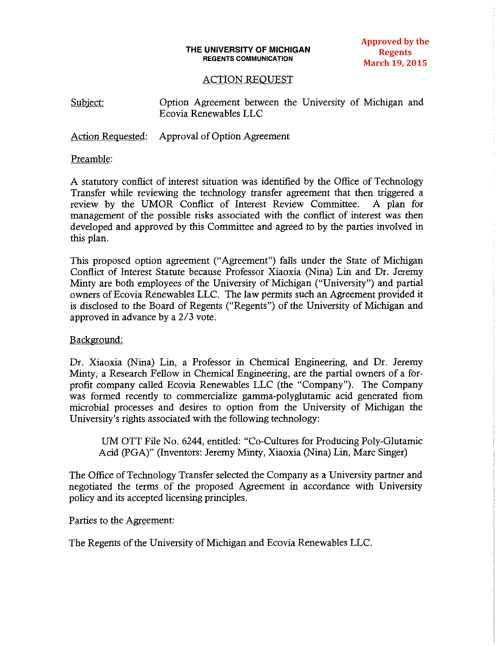#### **THE UNIVERSITY OF MICHIGAN REGENTS COMMUNICATION**

# ACTION REQUEST

Subject: Option Agreement between the University of Michigan and Ecovia Renewables LLC

Action Requested: Approval of Option Agreement

Preamble:

A statutory conflict of interest situation was identified by the Office of Technology Transfer while reviewing the technology transfer agreement that then triggered a review by the UMOR Conflict of Interest Review Committee. A plan for management of the possible risks associated with the conflict of interest was then developed and approved by this Committee and agreed to by the parties involved in this plan.

This proposed option agreement ("Agreement") falls under the State of Michigan Conflict of Interest Statute because Professor Xiaoxia (Nina) Lin and Dr. Jeremy Minty are both employees of the University of Michigan ("University") and partial owners of Ecovia Renewables LLC. The law permits such an Agreement provided it is disclosed to the Board of Regents ("Regents") of the University of Michigan and approved in advance by a 2/3 vote.

### Background:

Dr. Xiaoxia (Nina) Lin, a Professor in Chemical Engineering, and Dr. Jeremy Minty, a Research Fellow in Chemical Engineering, are the partial owners of a forprofit company called Ecovia Renewables LLC (the "Company"). The Company was formed recently to commercialize gamma-polyglutamic acid generated from microbial processes and desires to option from the University of Michigan the University's rights associated with the following technology:

UM OTT File No. 6244, entitled: "Co-Cultures for Producing Poly-Glutamic Acid (PGA)" (Inventors: Jeremy Minty, Xiaoxia (Nina) Lin, Marc Singer)

The Office of Technology Transfer selected the Company as a University partner and negotiated the terms of the proposed Agreement in accordance with University policy and its accepted licensing principles.

Parties to the Agreement:

The Regents of the University of Michigan and Ecovia Renewables LLC.